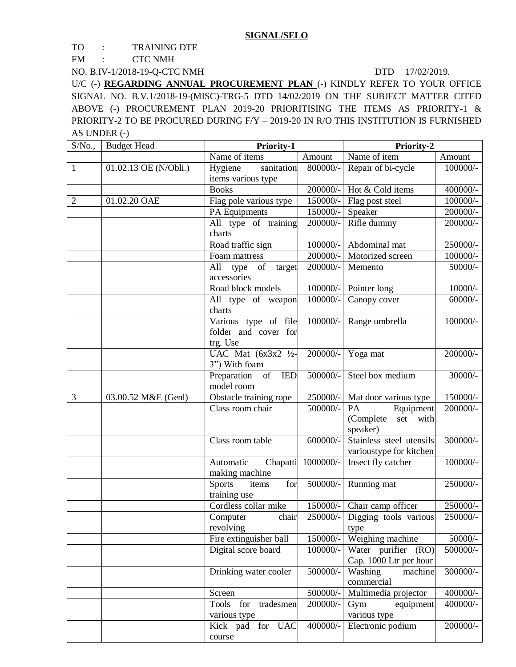TO : TRAINING DTE

FM : CTC NMH

NO. B.IV-1/2018-19-Q-CTC NMH DTD 17/02/2019.

U/C (-) **REGARDING ANNUAL PROCUREMENT PLAN** (-) KINDLY REFER TO YOUR OFFICE SIGNAL NO. B.V.1/2018-19-(MISC)-TRG-5 DTD 14/02/2019 ON THE SUBJECT MATTER CITED ABOVE (-) PROCUREMENT PLAN 2019-20 PRIORITISING THE ITEMS AS PRIORITY-1 & PRIORITY-2 TO BE PROCURED DURING F/Y – 2019-20 IN R/O THIS INSTITUTION IS FURNISHED AS UNDER (-)

| S/No.,         | <b>Budget Head</b>    | Priority-1                                          |            | <b>Priority-2</b>                             |            |
|----------------|-----------------------|-----------------------------------------------------|------------|-----------------------------------------------|------------|
|                |                       | Name of items                                       | Amount     | Name of item                                  | Amount     |
| $\mathbf{1}$   | 01.02.13 OE (N/Obli.) | sanitation<br>Hygiene                               | 800000/-   | Repair of bi-cycle                            | $100000/-$ |
|                |                       | items various type                                  |            |                                               |            |
|                |                       | <b>Books</b>                                        | 200000/-   | Hot & Cold items                              | 400000/-   |
| $\overline{2}$ | 01.02.20 OAE          | Flag pole various type                              | 150000/-   | Flag post steel                               | 100000/-   |
|                |                       | PA Equipments                                       | 150000/-   | Speaker                                       | 200000/-   |
|                |                       | All type of training                                | 200000/-   | Rifle dummy                                   | 200000/-   |
|                |                       | charts                                              |            |                                               |            |
|                |                       | Road traffic sign                                   | 100000/-   | Abdominal mat                                 | 250000/-   |
|                |                       | Foam mattress                                       | $200000/-$ | Motorized screen                              | 100000/-   |
|                |                       | All<br>of<br>type<br>target                         | 200000/-   | Memento                                       | 50000/-    |
|                |                       | accessories                                         |            |                                               |            |
|                |                       | Road block models                                   | 100000/-   | Pointer long                                  | $10000/-$  |
|                |                       | All type of weapon<br>charts                        | 100000/-   | Canopy cover                                  | $60000/-$  |
|                |                       | Various type of file                                | 100000/-   | Range umbrella                                | 100000/-   |
|                |                       | folder and cover for                                |            |                                               |            |
|                |                       | trg. Use                                            |            |                                               |            |
|                |                       | UAC Mat $(6x3x2 \frac{1}{2})$                       | 200000/-   | Yoga mat                                      | 200000/-   |
|                |                       | 3") With foam                                       |            |                                               |            |
|                |                       | Preparation<br>$\overline{\text{of}}$<br><b>IED</b> | 500000/-   | Steel box medium                              | $30000/-$  |
|                |                       | model room                                          |            |                                               |            |
| 3              | 03.00.52 M&E (Genl)   | Obstacle training rope                              | 250000/-   | Mat door various type                         | 150000/-   |
|                |                       | Class room chair                                    | 500000/-   | Equipment<br>PA                               | 200000/-   |
|                |                       |                                                     |            | (Complete<br>set with                         |            |
|                |                       |                                                     |            | speaker)                                      |            |
|                |                       | Class room table                                    | 600000/-   | Stainless steel utensils                      | 300000/-   |
|                |                       | Automatic<br>Chapatti                               | 1000000/-  | varioustype for kitchen<br>Insect fly catcher | 100000/-   |
|                |                       | making machine                                      |            |                                               |            |
|                |                       | <b>Sports</b><br>items<br>for                       | 500000/-   | Running mat                                   | 250000/-   |
|                |                       | training use                                        |            |                                               |            |
|                |                       | Cordless collar mike                                | $150000/-$ | Chair camp officer                            | 250000/-   |
|                |                       |                                                     |            | Computer chair 250000/- Digging tools various | 250000/-   |
|                |                       | revolving                                           |            | type                                          |            |
|                |                       | Fire extinguisher ball                              | 150000/-   | Weighing machine                              | $50000/-$  |
|                |                       | Digital score board                                 | 100000/-   | Water purifier (RO)                           | 500000/-   |
|                |                       |                                                     |            | Cap. 1000 Ltr per hour                        |            |
|                |                       | Drinking water cooler                               | 500000/-   | Washing<br>machine                            | $300000/-$ |
|                |                       |                                                     |            | commercial                                    |            |
|                |                       | Screen                                              | 500000/-   | Multimedia projector                          | 400000/-   |
|                |                       | Tools for<br>tradesmen                              | 200000/-   | Gym<br>equipment                              | 400000/-   |
|                |                       | various type                                        |            | various type                                  |            |
|                |                       | Kick pad for UAC                                    | 400000/-   | Electronic podium                             | 200000/-   |
|                |                       | course                                              |            |                                               |            |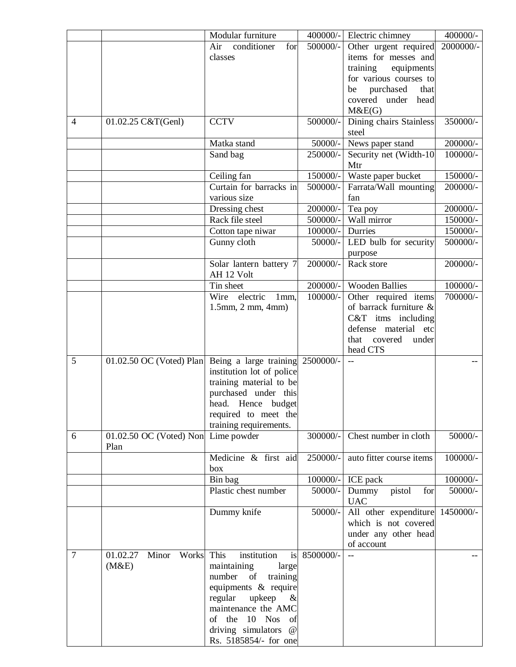|        |                                             | Modular furniture                       | 400000/-   | Electric chimney                     | 400000/-   |
|--------|---------------------------------------------|-----------------------------------------|------------|--------------------------------------|------------|
|        |                                             | conditioner<br>Air<br>for               | 500000/-   | Other urgent required                | 2000000/-  |
|        |                                             | classes                                 |            | items for messes and                 |            |
|        |                                             |                                         |            | training<br>equipments               |            |
|        |                                             |                                         |            | for various courses to               |            |
|        |                                             |                                         |            | purchased<br>that<br>be              |            |
|        |                                             |                                         |            | covered under head<br>M&E(G)         |            |
| 4      | 01.02.25 C&T(Genl)                          | <b>CCTV</b>                             | 500000/-   | Dining chairs Stainless<br>steel     | 350000/-   |
|        |                                             | Matka stand                             | $50000/-$  | News paper stand                     | $200000/-$ |
|        |                                             | Sand bag                                | 250000/-   | Security net (Width-10)<br>Mtr       | 100000/-   |
|        |                                             | Ceiling fan                             | 150000/-   | Waste paper bucket                   | 150000/-   |
|        |                                             | Curtain for barracks in<br>various size | 500000/-   | Farrata/Wall mounting<br>fan         | 200000/-   |
|        |                                             | Dressing chest                          | 200000/-   | Tea poy                              | 200000/-   |
|        |                                             | Rack file steel                         | 500000/-   | Wall mirror                          | 150000/-   |
|        |                                             | Cotton tape niwar                       | 100000/-   | Durries                              | 150000/-   |
|        |                                             | Gunny cloth                             | 50000/-    | LED bulb for security<br>purpose     | 500000/-   |
|        |                                             | Solar lantern battery 7<br>AH 12 Volt   | 200000/-   | Rack store                           | 200000/-   |
|        |                                             | Tin sheet                               | 200000/-   | <b>Wooden Ballies</b>                | 100000/-   |
|        |                                             | Wire electric<br>1mm,                   | 100000/-   | Other required items                 | 700000/-   |
|        |                                             | $1.5$ mm, $2$ mm, $4$ mm)               |            | of barrack furniture &               |            |
|        |                                             |                                         |            | C&T itms including                   |            |
|        |                                             |                                         |            | defense material etc                 |            |
|        |                                             |                                         |            | covered<br>that<br>under<br>head CTS |            |
| 5      | 01.02.50 OC (Voted) Plan                    | Being a large training                  | 2500000/-  |                                      |            |
|        |                                             | institution lot of police               |            |                                      |            |
|        |                                             | training material to be                 |            |                                      |            |
|        |                                             | purchased under this                    |            |                                      |            |
|        |                                             | head. Hence budget                      |            |                                      |            |
|        |                                             | required to meet the                    |            |                                      |            |
|        |                                             | training requirements.                  |            |                                      |            |
| 6      | 01.02.50 OC (Voted) Non Lime powder<br>Plan |                                         | 300000/-   | Chest number in cloth                | $50000/-$  |
|        |                                             | Medicine & first aid<br>box             | 250000/-   | auto fitter course items             | 100000/-   |
|        |                                             | Bin bag                                 | $100000/-$ | ICE pack                             | 100000/-   |
|        |                                             | Plastic chest number                    | 50000/-    | pistol<br>for<br>Dummy<br><b>UAC</b> | 50000/-    |
|        |                                             | Dummy knife                             | 50000/-    | All other expenditure 1450000/-      |            |
|        |                                             |                                         |            | which is not covered                 |            |
|        |                                             |                                         |            | under any other head                 |            |
| $\tau$ | 01.02.27<br>Minor<br>Works                  | This<br>institution<br>is               | 8500000/-  | of account<br>$-$                    |            |
|        | (M&E)                                       | maintaining<br>large                    |            |                                      |            |
|        |                                             | training<br>number<br>of                |            |                                      |            |
|        |                                             | equipments & require                    |            |                                      |            |
|        |                                             | regular<br>upkeep<br>$\&$               |            |                                      |            |
|        |                                             | maintenance the AMC                     |            |                                      |            |
|        |                                             | of the 10<br><b>Nos</b><br>of           |            |                                      |            |
|        |                                             | driving simulators<br>@                 |            |                                      |            |
|        |                                             | Rs. 5185854/- for one                   |            |                                      |            |